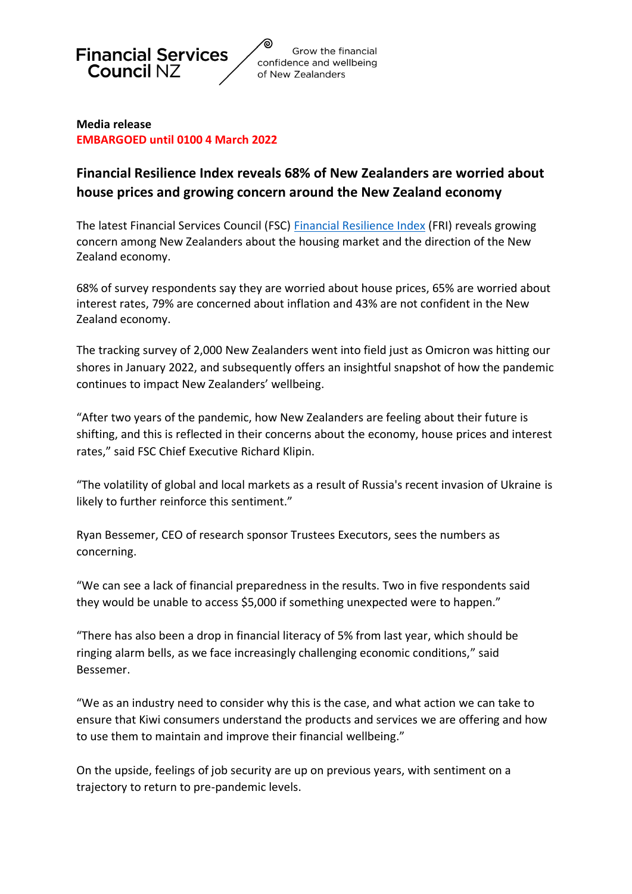

**Media release EMBARGOED until 0100 4 March 2022**

# **Financial Resilience Index reveals 68% of New Zealanders are worried about house prices and growing concern around the New Zealand economy**

The latest Financial Services Council (FSC) [Financial Resilience Index](https://f.hubspotusercontent10.net/hubfs/7422267/FSC%20Corporate/Documents/Research%20Reports/FSC%20-%20Financial%20Resilience%20Index%20-%20February%202022%20-%20FINAL.pdf) (FRI) reveals growing concern among New Zealanders about the housing market and the direction of the New Zealand economy.

68% of survey respondents say they are worried about house prices, 65% are worried about interest rates, 79% are concerned about inflation and 43% are not confident in the New Zealand economy.

The tracking survey of 2,000 New Zealanders went into field just as Omicron was hitting our shores in January 2022, and subsequently offers an insightful snapshot of how the pandemic continues to impact New Zealanders' wellbeing.

"After two years of the pandemic, how New Zealanders are feeling about their future is shifting, and this is reflected in their concerns about the economy, house prices and interest rates," said FSC Chief Executive Richard Klipin.

"The volatility of global and local markets as a result of Russia's recent invasion of Ukraine is likely to further reinforce this sentiment."

Ryan Bessemer, CEO of research sponsor Trustees Executors, sees the numbers as concerning.

"We can see a lack of financial preparedness in the results. Two in five respondents said they would be unable to access \$5,000 if something unexpected were to happen."

"There has also been a drop in financial literacy of 5% from last year, which should be ringing alarm bells, as we face increasingly challenging economic conditions," said Bessemer.

"We as an industry need to consider why this is the case, and what action we can take to ensure that Kiwi consumers understand the products and services we are offering and how to use them to maintain and improve their financial wellbeing."

On the upside, feelings of job security are up on previous years, with sentiment on a trajectory to return to pre-pandemic levels.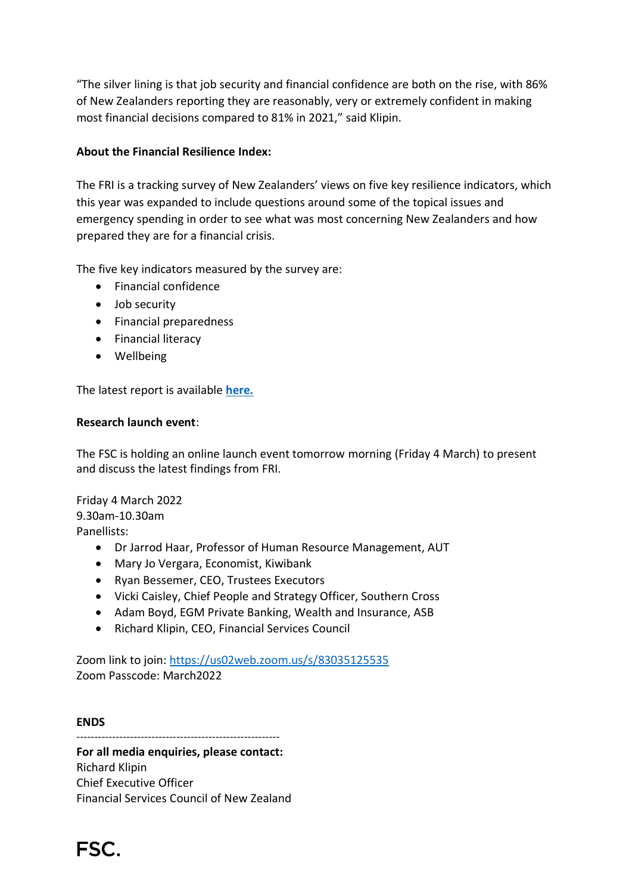"The silver lining is that job security and financial confidence are both on the rise, with 86% of New Zealanders reporting they are reasonably, very or extremely confident in making most financial decisions compared to 81% in 2021," said Klipin.

## **About the Financial Resilience Index:**

The FRI is a tracking survey of New Zealanders' views on five key resilience indicators, which this year was expanded to include questions around some of the topical issues and emergency spending in order to see what was most concerning New Zealanders and how prepared they are for a financial crisis.

The five key indicators measured by the survey are:

- Financial confidence
- Job security
- Financial preparedness
- Financial literacy
- Wellbeing

The latest report is available **[here.](https://f.hubspotusercontent10.net/hubfs/7422267/FSC%20Corporate/Documents/Research%20Reports/FSC%20-%20Financial%20Resilience%20Index%20-%20February%202022%20-%20FINAL.pdf)**

#### **Research launch event**:

The FSC is holding an online launch event tomorrow morning (Friday 4 March) to present and discuss the latest findings from FRI.

Friday 4 March 2022 9.30am-10.30am Panellists:

- Dr Jarrod Haar, Professor of Human Resource Management, AUT
- Mary Jo Vergara, Economist, Kiwibank
- Ryan Bessemer, CEO, Trustees Executors
- Vicki Caisley, Chief People and Strategy Officer, Southern Cross
- Adam Boyd, EGM Private Banking, Wealth and Insurance, ASB
- Richard Klipin, CEO, Financial Services Council

Zoom link to join:<https://us02web.zoom.us/s/83035125535> Zoom Passcode: March2022

#### **ENDS**

---------------------------------------------------------

**For all media enquiries, please contact:**  Richard Klipin Chief Executive Officer Financial Services Council of New Zealand